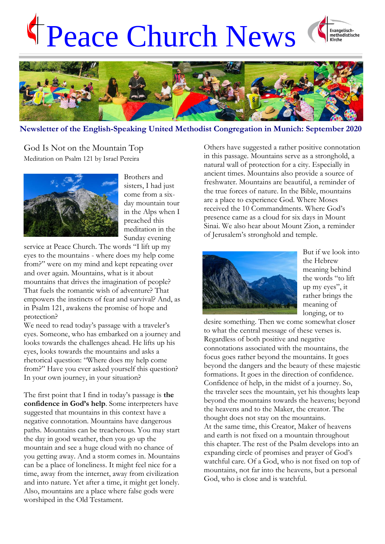# Peace Church News





### **Newsletter of the English-Speaking United Methodist Congregation in Munich: September 2020**

God Is Not on the Mountain Top Meditation on Psalm 121 by Israel Pereira



Brothers and sisters, I had just come from a sixday mountain tour in the Alps when I preached this meditation in the Sunday evening

service at Peace Church. The words "I lift up my eyes to the mountains - where does my help come from?" were on my mind and kept repeating over and over again. Mountains, what is it about mountains that drives the imagination of people? That fuels the romantic wish of adventure? That empowers the instincts of fear and survival? And, as in Psalm 121, awakens the promise of hope and protection?

We need to read today's passage with a traveler's eyes. Someone, who has embarked on a journey and looks towards the challenges ahead. He lifts up his eyes, looks towards the mountains and asks a rhetorical question: "Where does my help come from?" Have you ever asked yourself this question? In your own journey, in your situation?

The first point that I find in today's passage is **the confidence in God's help**. Some interpreters have suggested that mountains in this context have a negative connotation. Mountains have dangerous paths. Mountains can be treacherous. You may start the day in good weather, then you go up the mountain and see a huge cloud with no chance of you getting away. And a storm comes in. Mountains can be a place of loneliness. It might feel nice for a time, away from the internet, away from civilization and into nature. Yet after a time, it might get lonely. Also, mountains are a place where false gods were worshiped in the Old Testament.

Others have suggested a rather positive connotation in this passage. Mountains serve as a stronghold, a natural wall of protection for a city. Especially in ancient times. Mountains also provide a source of freshwater. Mountains are beautiful, a reminder of the true forces of nature. In the Bible, mountains are a place to experience God. Where Moses received the 10 Commandments. Where God's presence came as a cloud for six days in Mount Sinai. We also hear about Mount Zion, a reminder of Jerusalem's stronghold and temple.



But if we look into the Hebrew meaning behind the words "to lift up my eyes", it rather brings the meaning of longing, or to

desire something. Then we come somewhat closer to what the central message of these verses is. Regardless of both positive and negative connotations associated with the mountains, the focus goes rather beyond the mountains. It goes beyond the dangers and the beauty of these majestic formations. It goes in the direction of confidence. Confidence of help, in the midst of a journey. So, the traveler sees the mountain, yet his thoughts leap beyond the mountains towards the heavens; beyond the heavens and to the Maker, the creator. The thought does not stay on the mountains. At the same time, this Creator, Maker of heavens and earth is not fixed on a mountain throughout this chapter. The rest of the Psalm develops into an expanding circle of promises and prayer of God's watchful care. Of a God, who is not fixed on top of mountains, not far into the heavens, but a personal God, who is close and is watchful.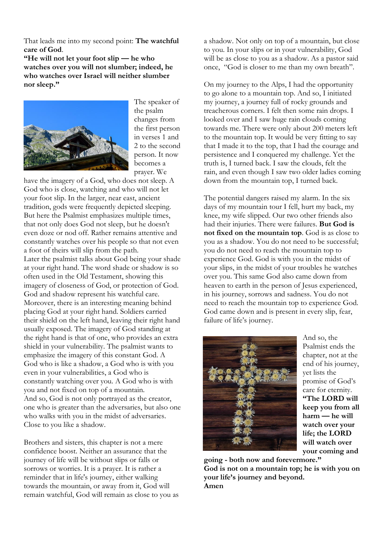That leads me into my second point: **The watchful care of God**.

**"He will not let your foot slip — he who watches over you will not slumber; indeed, he who watches over Israel will neither slumber nor sleep."**



The speaker of the psalm changes from the first person in verses 1 and 2 to the second person. It now becomes a prayer. We

have the imagery of a God, who does not sleep. A God who is close, watching and who will not let your foot slip. In the larger, near east, ancient tradition, gods were frequently depicted sleeping. But here the Psalmist emphasizes multiple times, that not only does God not sleep, but he doesn't even doze or nod off. Rather remains attentive and constantly watches over his people so that not even a foot of theirs will slip from the path. Later the psalmist talks about God being your shade at your right hand. The word shade or shadow is so often used in the Old Testament, showing this imagery of closeness of God, or protection of God. God and shadow represent his watchful care. Moreover, there is an interesting meaning behind placing God at your right hand. Soldiers carried their shield on the left hand, leaving their right hand usually exposed. The imagery of God standing at the right hand is that of one, who provides an extra shield in your vulnerability. The psalmist wants to emphasize the imagery of this constant God. A God who is like a shadow, a God who is with you even in your vulnerabilities, a God who is

constantly watching over you. A God who is with you and not fixed on top of a mountain. And so, God is not only portrayed as the creator, one who is greater than the adversaries, but also one who walks with you in the midst of adversaries. Close to you like a shadow.

Brothers and sisters, this chapter is not a mere confidence boost. Neither an assurance that the journey of life will be without slips or falls or sorrows or worries. It is a prayer. It is rather a reminder that in life's journey, either walking towards the mountain, or away from it, God will remain watchful, God will remain as close to you as a shadow. Not only on top of a mountain, but close to you. In your slips or in your vulnerability, God will be as close to you as a shadow. As a pastor said once, "God is closer to me than my own breath".

On my journey to the Alps, I had the opportunity to go alone to a mountain top. And so, I initiated my journey, a journey full of rocky grounds and treacherous corners. I felt then some rain drops. I looked over and I saw huge rain clouds coming towards me. There were only about 200 meters left to the mountain top. It would be very fitting to say that I made it to the top, that I had the courage and persistence and I conquered my challenge. Yet the truth is, I turned back. I saw the clouds, felt the rain, and even though I saw two older ladies coming down from the mountain top, I turned back.

The potential dangers raised my alarm. In the six days of my mountain tour I fell, hurt my back, my knee, my wife slipped. Our two other friends also had their injuries. There were failures. **But God is not fixed on the mountain top**. God is as close to you as a shadow. You do not need to be successful; you do not need to reach the mountain top to experience God. God is with you in the midst of your slips, in the midst of your troubles he watches over you. This same God also came down from heaven to earth in the person of Jesus experienced, in his journey, sorrows and sadness. You do not need to reach the mountain top to experience God. God came down and is present in every slip, fear, failure of life's journey.



And so, the Psalmist ends the chapter, not at the end of his journey, yet lists the promise of God's care for eternity. **"The LORD will keep you from all harm — he will watch over your life; the LORD will watch over your coming and** 

**going - both now and forevermore." God is not on a mountain top; he is with you on your life's journey and beyond. Amen**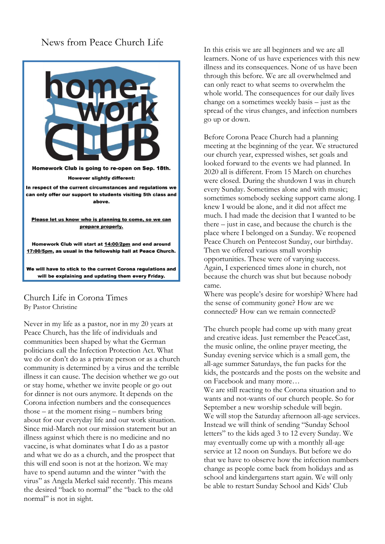## News from Peace Church Life



#### Church Life in Corona Times By Pastor Christine

Never in my life as a pastor, nor in my 20 years at Peace Church, has the life of individuals and communities been shaped by what the German politicians call the Infection Protection Act. What we do or don't do as a private person or as a church community is determined by a virus and the terrible illness it can cause. The decision whether we go out or stay home, whether we invite people or go out for dinner is not ours anymore. It depends on the Corona infection numbers and the consequences those – at the moment rising – numbers bring about for our everyday life and our work situation. Since mid-March not our mission statement but an illness against which there is no medicine and no vaccine, is what dominates what I do as a pastor and what we do as a church, and the prospect that this will end soon is not at the horizon. We may have to spend autumn and the winter "with the virus" as Angela Merkel said recently. This means the desired "back to normal" the "back to the old normal" is not in sight.

In this crisis we are all beginners and we are all learners. None of us have experiences with this new illness and its consequences. None of us have been through this before. We are all overwhelmed and can only react to what seems to overwhelm the whole world. The consequences for our daily lives change on a sometimes weekly basis – just as the spread of the virus changes, and infection numbers go up or down.

Before Corona Peace Church had a planning meeting at the beginning of the year. We structured our church year, expressed wishes, set goals and looked forward to the events we had planned. In 2020 all is different. From 15 March on churches were closed. During the shutdown I was in church every Sunday. Sometimes alone and with music; sometimes somebody seeking support came along. I knew I would be alone, and it did not affect me much. I had made the decision that I wanted to be there – just in case, and because the church is the place where I belonged on a Sunday. We reopened Peace Church on Pentecost Sunday, our birthday. Then we offered various small worship opportunities. These were of varying success. Again, I experienced times alone in church, not because the church was shut but because nobody came.

Where was people's desire for worship? Where had the sense of community gone? How are we connected? How can we remain connected?

The church people had come up with many great and creative ideas. Just remember the PeaceCast, the music online, the online prayer meeting, the Sunday evening service which is a small gem, the all-age summer Saturdays, the fun packs for the kids, the postcards and the posts on the website and on Facebook and many more…

We are still reacting to the Corona situation and to wants and not-wants of our church people. So for September a new worship schedule will begin. We will stop the Saturday afternoon all-age services. Instead we will think of sending "Sunday School letters" to the kids aged 3 to 12 every Sunday. We may eventually come up with a monthly all-age service at 12 noon on Sundays. But before we do that we have to observe how the infection numbers change as people come back from holidays and as school and kindergartens start again. We will only be able to restart Sunday School and Kids' Club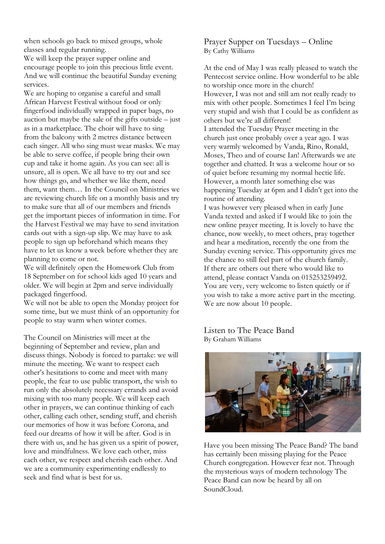when schools go back to mixed groups, whole classes and regular running.

We will keep the prayer supper online and encourage people to join this precious little event. And we will continue the beautiful Sunday evening services.

We are hoping to organise a careful and small African Harvest Festival without food or only fingerfood individually wrapped in paper bags, no auction but maybe the sale of the gifts outside – just as in a marketplace. The choir will have to sing from the balcony with 2 metres distance between each singer. All who sing must wear masks. We may be able to serve coffee, if people bring their own cup and take it home again. As you can see: all is unsure, all is open. We all have to try out and see how things go, and whether we like them, need them, want them… In the Council on Ministries we are reviewing church life on a monthly basis and try to make sure that all of our members and friends get the important pieces of information in time. For the Harvest Festival we may have to send invitation cards out with a sign-up slip. We may have to ask people to sign up beforehand which means they have to let us know a week before whether they are planning to come or not.

We will definitely open the Homework Club from 18 September on for school kids aged 10 years and older. We will begin at 2pm and serve individually packaged fingerfood.

We will not be able to open the Monday project for some time, but we must think of an opportunity for people to stay warm when winter comes.

The Council on Ministries will meet at the beginning of September and review, plan and discuss things. Nobody is forced to partake: we will minute the meeting. We want to respect each other's hesitations to come and meet with many people, the fear to use public transport, the wish to run only the absolutely necessary errands and avoid mixing with too many people. We will keep each other in prayers, we can continue thinking of each other, calling each other, sending stuff, and cherish our memories of how it was before Corona, and feed our dreams of how it will be after. God is in there with us, and he has given us a spirit of power, love and mindfulness. We love each other, miss each other, we respect and cherish each other. And we are a community experimenting endlessly to seek and find what is best for us.

Prayer Supper on Tuesdays – Online By Cathy Williams

At the end of May I was really pleased to watch the Pentecost service online. How wonderful to be able to worship once more in the church! However, I was not and still am not really ready to mix with other people. Sometimes I feel I'm being very stupid and wish that I could be as confident as others but we're all different! I attended the Tuesday Prayer meeting in the church just once probably over a year ago. I was very warmly welcomed by Vanda, Rino, Ronald, Moses, Theo and of course Ian! Afterwards we ate together and chatted. It was a welcome hour or so of quiet before resuming my normal hectic life. However, a month later something else was happening Tuesday at 6pm and I didn't get into the routine of attending. I was however very pleased when in early June

Vanda texted and asked if I would like to join the new online prayer meeting. It is lovely to have the chance, now weekly, to meet others, pray together and hear a meditation, recently the one from the Sunday evening service. This opportunity gives me the chance to still feel part of the church family. If there are others out there who would like to attend, please contact Vanda on 015253259492. You are very, very welcome to listen quietly or if you wish to take a more active part in the meeting. We are now about 10 people.

Listen to The Peace Band By Graham Williams



Have you been missing The Peace Band? The band has certainly been missing playing for the Peace Church congregation. However fear not. Through the mysterious ways of modern technology The Peace Band can now be heard by all on SoundCloud.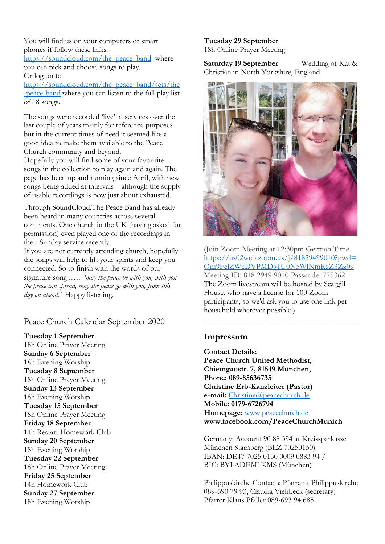You will find us on your computers or smart phones if follow these links.

https://soundcloud.com/the\_peace\_band\_where you can pick and choose songs to play. Or log on to

[https://soundcloud.com/the\\_peace\\_band/sets/the](https://soundcloud.com/the_peace_band/sets/the-peace-band) [-peace-band](https://soundcloud.com/the_peace_band/sets/the-peace-band) where you can listen to the full play list of 18 songs.

The songs were recorded 'live' in services over the last couple of years mainly for reference purposes but in the current times of need it seemed like a good idea to make them available to the Peace Church community and beyond.

Hopefully you will find some of your favourite songs in the collection to play again and again. The page has been up and running since April, with new songs being added at intervals – although the supply of usable recordings is now just about exhausted.

Through SoundCloud,The Peace Band has already been heard in many countries across several continents. One church in the UK (having asked for permission) even played one of the recordings in their Sunday service recently.

If you are not currently attending church, hopefully the songs will help to lift your spirits and keep you connected. So to finish with the words of our signature song .….. *'may the peace be with you, with you the peace can spread, may the peace go with you, from this day on ahead.'* Happy listening.

Peace Church Calendar September 2020

**Tuesday 1 September**  18h Online Prayer Meeting **Sunday 6 September** 18h Evening Worship **Tuesday 8 September** 18h Online Prayer Meeting **Sunday 13 September** 18h Evening Worship **Tuesday 15 September**  18h Online Prayer Meeting **Friday 18 September** 14h Restart Homework Club **Sunday 20 September**  18h Evening Worship **Tuesday 22 September** 18h Online Prayer Meeting **Friday 25 September** 14h Homework Club **Sunday 27 September**  18h Evening Worship

#### **Tuesday 29 September** 18h Online Prayer Meeting

**Saturday 19 September** Wedding of Kat & Christian in North Yorkshire, England



(Join Zoom Meeting at 12:30pm German Time [https://us02web.zoom.us/j/81829499010?pwd=](https://us02web.zoom.us/j/81829499010?pwd=Qm9FelZWcDVPMDg1U0N5WlNmRzZ3Zz09) [Qm9FelZWcDVPMDg1U0N5WlNmRzZ3Zz09](https://us02web.zoom.us/j/81829499010?pwd=Qm9FelZWcDVPMDg1U0N5WlNmRzZ3Zz09) Meeting ID: 818 2949 9010 Passcode: 775362 The Zoom livestream will be hosted by Scargill House, who have a license for 100 Zoom participants, so we'd ask you to use one link per household wherever possible.)

**\_\_\_\_\_\_\_\_\_\_\_\_\_\_\_\_\_\_\_\_\_\_\_\_\_\_\_\_\_\_\_\_\_\_\_\_\_\_\_\_**

## **Impressum**

**Contact Details: Peace Church United Methodist, Chiemgaustr. 7, 81549 München, Phone: 089-85636735 Christine Erb-Kanzleiter (Pastor) e-mail:** [Christine@peacechurch.de](mailto:Christine@peacechurch.de) **Mobile: 0179-6726794 Homepage:** [www.peacechurch.de](http://www.peacechurch.de/) **www.facebook.com/PeaceChurchMunich**

Germany: Account 90 88 394 at Kreissparkasse München Starnberg (BLZ 70250150) IBAN: DE47 7025 0150 0009 0883 94 / BIC: BYLADEM1KMS (München)

Philippuskirche Contacts: Pfarramt Philippuskirche 089-690 79 93, Claudia Viehbeck (secretary) Pfarrer Klaus Pfaller 089-693 94 685